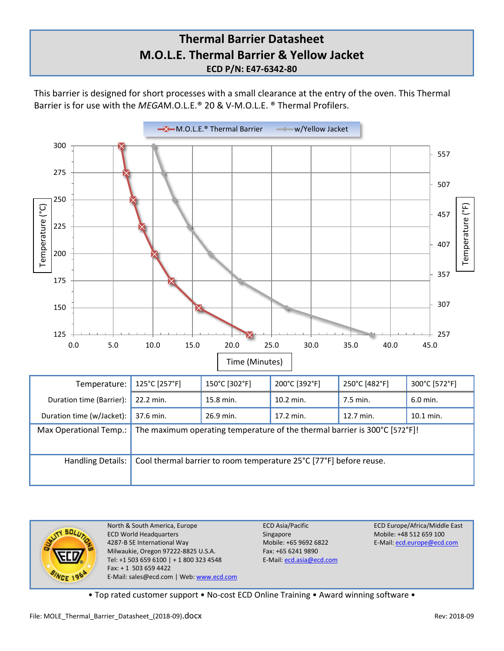## **Thermal Barrier Datasheet M.O.L.E. Thermal Barrier & Yellow Jacket ECD P/N: E47-6342-80**

This barrier is designed for short processes with a small clearance at the entry of the oven. This Thermal Barrier is for use with the *MEGA*M.O.L.E.® 20 & V-M.O.L.E. ® Thermal Profilers.





North & South America, Europe **ECD Asia/Pacific** ECD Asia/Pacific **ECD Europe/Africa/Middle East**<br>ECD World Headquarters Singapore Singapore Mobile: +48 512 659 100 ECD World Headquarters Singapore 4287-B SE International Way Mobile: +65 9692 6822 E-Mail[: ecd.europe@ecd.com](mailto:ecd.europe@ecd.com) Milwaukie, Oregon 97222-8825 U.S.A. Fax: +65 6241 9890 Tel: +1 503 659 6100 | + 1 800 323 4548 E-Mail[: ecd.asia@ecd.com](mailto:ecd.asia@ecd.com) Fax: + 1 503 659 4422 E-Mail: sales@ecd.com | Web[: www.ecd.com](http://www.ecd.com/)

• Top rated customer support • No-cost ECD Online Training • Award winning software •